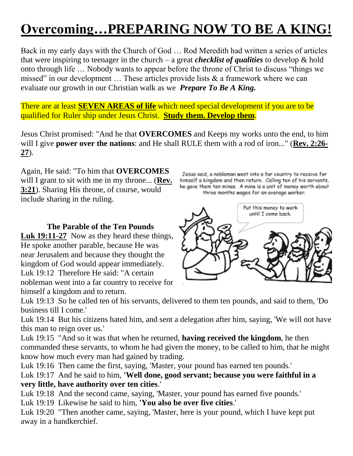# **Overcoming…PREPARING NOW TO BE A KING!**

Back in my early days with the Church of God … Rod Meredith had written a series of articles that were inspiring to teenager in the church – a great *checklist of qualities* to develop & hold onto through life ... Nobody wants to appear before the throne of Christ to discuss "things we missed" in our development  $\ldots$  These articles provide lists  $\&$  a framework where we can evaluate our growth in our Christian walk as we *Prepare To Be A King.*

There are at least **SEVEN AREAS of life** which need special development if you are to be qualified for Ruler ship under Jesus Christ. **Study them. Develop them**.

Jesus Christ promised: "And he that **OVERCOMES** and Keeps my works unto the end, to him will I give **power over the nations**: and He shall RULE them with a rod of iron..." (**Rev. 2:26- 27**).

Again, He said: "To him that **OVERCOMES** will I grant to sit with me in my throne... (**Rev. 3:21**). Sharing His throne, of course, would include sharing in the ruling.

#### **The Parable of the Ten Pounds**

**Luk 19:11-27** Now as they heard these things, He spoke another parable, because He was near Jerusalem and because they thought the kingdom of God would appear immediately. Luk 19:12 Therefore He said: "A certain nobleman went into a far country to receive for himself a kingdom and to return.

Jesus said, a nobleman went into a far country to receive for himself a kingdom and then return. Calling ten of his servants, he gave them ten minas. A mina is a unit of money worth about three months wages for an average worker.



Luk 19:13 So he called ten of his servants, delivered to them ten pounds, and said to them, 'Do business till I come.'

Luk 19:14 But his citizens hated him, and sent a delegation after him, saying, 'We will not have this man to reign over us.'

Luk 19:15 "And so it was that when he returned, **having received the kingdom**, he then commanded these servants, to whom he had given the money, to be called to him, that he might know how much every man had gained by trading.

Luk 19:16 Then came the first, saying, 'Master, your pound has earned ten pounds.'

Luk 19:17 And he said to him, **'Well done, good servant; because you were faithful in a very little, have authority over ten cities**.'

Luk 19:18 And the second came, saying, 'Master, your pound has earned five pounds.'

Luk 19:19 Likewise he said to him, **'You also be over five cities**.'

Luk 19:20 "Then another came, saying, 'Master, here is your pound, which I have kept put away in a handkerchief.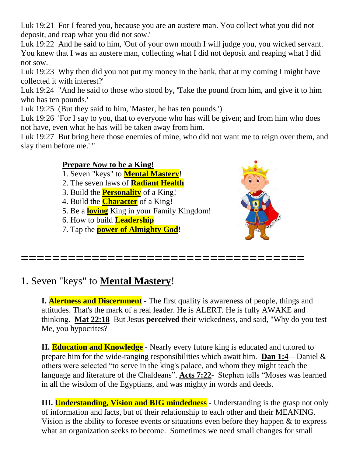Luk 19:21 For I feared you, because you are an austere man. You collect what you did not deposit, and reap what you did not sow.'

Luk 19:22 And he said to him, 'Out of your own mouth I will judge you, you wicked servant. You knew that I was an austere man, collecting what I did not deposit and reaping what I did not sow.

Luk 19:23 Why then did you not put my money in the bank, that at my coming I might have collected it with interest?'

Luk 19:24 "And he said to those who stood by, 'Take the pound from him, and give it to him who has ten pounds.'

Luk 19:25 (But they said to him, 'Master, he has ten pounds.')

Luk 19:26 'For I say to you, that to everyone who has will be given; and from him who does not have, even what he has will be taken away from him.

Luk 19:27 But bring here those enemies of mine, who did not want me to reign over them, and slay them before me.' "

#### **Prepare** *Now* **to be a King!**

- 1. Seven "keys" to **Mental Mastery**!
- 2. The seven laws of **Radiant Health**
- 3. Build the **Personality** of a King!
- 4. Build the **Character** of a King!
- 5. Be a **loving** King in your Family Kingdom!
- 6. How to build **Leadership**
- 7. Tap the **power of Almighty God**!



## 1. Seven "keys" to **Mental Mastery**!

**I. Alertness and Discernment** - The first quality is awareness of people, things and attitudes. That's the mark of a real leader. He is ALERT. He is fully AWAKE and thinking. **Mat 22:18** But Jesus **perceived** their wickedness, and said, "Why do you test Me, you hypocrites?

**====================================**

**II. Education and Knowledge** - Nearly every future king is educated and tutored to prepare him for the wide-ranging responsibilities which await him. **Dan 1:4** – Daniel & others were selected "to serve in the king's palace, and whom they might teach the language and literature of the Chaldeans". Acts 7:22- Stephen tells "Moses was learned in all the wisdom of the Egyptians, and was mighty in words and deeds.

**III.** Understanding, Vision and BIG mindedness - Understanding is the grasp not only of information and facts, but of their relationship to each other and their MEANING. Vision is the ability to foresee events or situations even before they happen & to express what an organization seeks to become. Sometimes we need small changes for small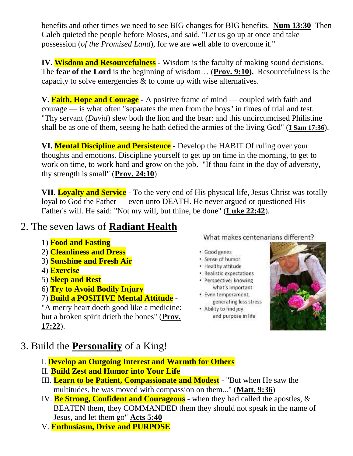benefits and other times we need to see BIG changes for BIG benefits. **Num 13:30** Then Caleb quieted the people before Moses, and said, "Let us go up at once and take possession (*of the Promised Land*), for we are well able to overcome it."

**IV. Wisdom and Resourcefulness** - Wisdom is the faculty of making sound decisions. The **fear of the Lord** is the beginning of wisdom… (**Prov. 9:10).** Resourcefulness is the capacity to solve emergencies & to come up with wise alternatives.

**V.** Faith, Hope and Courage - A positive frame of mind — coupled with faith and courage — is what often "separates the men from the boys" in times of trial and test. "Thy servant (*David*) slew both the lion and the bear: and this uncircumcised Philistine shall be as one of them, seeing he hath defied the armies of the living God" (**I Sam 17:36**).

**VI. Mental Discipline and Persistence** - Develop the HABIT Of ruling over your thoughts and emotions. Discipline yourself to get up on time in the morning, to get to work on time, to work hard and grow on the job. "If thou faint in the day of adversity, thy strength is small" (**Prov. 24:10**)

**VII. Loyalty and Service** - To the very end of His physical life, Jesus Christ was totally loyal to God the Father — even unto DEATH. He never argued or questioned His Father's will. He said: "Not my will, but thine, be done" (**Luke 22:42**).

## 2. The seven laws of **Radiant Health**

- 1) **Food and Fasting**
- 2) **Cleanliness and Dress**
- 3) **Sunshine and Fresh Air**
- 4) **Exercise**
- 5) **Sleep and Rest**
- 6) **Try to Avoid Bodily Injury**

## 7) **Build a POSITIVE Mental Attitude** -

"A merry heart doeth good like a medicine: but a broken spirit drieth the bones" (**Prov. 17:22**).

What makes centenarians different?

- · Good genes
- · Sense of humor
- · Healthy attitude
- · Realistic expectations · Perspective: knowing
- what's important
- · Even temperament, generating less stress
- . Ability to find joy and purpose in life



- 3. Build the **Personality** of a King!
	- I. **Develop an Outgoing Interest and Warmth for Others**
	- II. **Build Zest and Humor into Your Life**
	- III. **Learn to be Patient, Compassionate and Modest** "But when He saw the multitudes, he was moved with compassion on them..." (**Matt. 9:36**)
	- IV. **Be Strong, Confident and Courageous** when they had called the apostles, & BEATEN them, they COMMANDED them they should not speak in the name of Jesus, and let them go" **Acts 5:40**
	- V. **Enthusiasm, Drive and PURPOSE**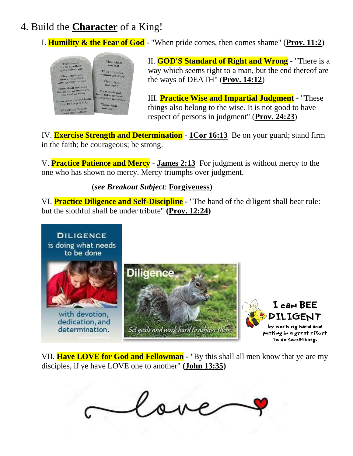# 4. Build the **Character** of a King!

## I. **Humility & the Fear of God** - "When pride comes, then comes shame" (**Prov. 11:2**)



II. **GOD'S Standard of Right and Wrong** - "There is a way which seems right to a man, but the end thereof are the ways of DEATH" (**Prov. 14:12**)

III. **Practice Wise and Impartial Judgment** - "These things also belong to the wise. It is not good to have respect of persons in judgment" (**Prov. 24:23**)

IV. **Exercise Strength and Determination** - **1Cor 16:13** Be on your guard; stand firm in the faith; be courageous; be strong.

V. **Practice Patience and Mercy** - **James 2:13** For judgment is without mercy to the one who has shown no mercy. Mercy triumphs over judgment.

#### (*see Breakout Subject*: **Forgiveness**)

VI. **Practice Diligence and Self-Discipline -** "The hand of the diligent shall bear rule: but the slothful shall be under tribute" **(Prov. 12:24)**



VII. **Have LOVE for God and Fellowman -** "By this shall all men know that ye are my disciples, if ye have LOVE one to another" **(John 13:35)**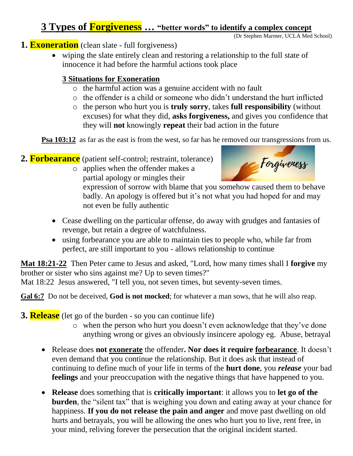## **3 Types of Forgiveness … "better words" to identify a complex concept**

(Dr Stephen Marmer, UCLA Med School)

- **1. Exoneration** (clean slate full forgiveness)
	- wiping the slate entirely clean and restoring a relationship to the full state of innocence it had before the harmful actions took place

### **3 Situations for Exoneration**

- o the harmful action was a genuine accident with no fault
- o the offender is a child or someone who didn't understand the hurt inflicted
- o the person who hurt you is **truly sorry**, takes **full responsibility** (without excuses) for what they did, **asks forgiveness,** and gives you confidence that they will **not** knowingly **repeat** their bad action in the future

**Psa 103:12** as far as the east is from the west, so far has he removed our transgressions from us.

- 2. **Forbearance** (patient self-control; restraint, tolerance)
	- o applies when the offender makes a partial apology or mingles their



expression of sorrow with blame that you somehow caused them to behave badly. An apology is offered but it's not what you had hoped for and may not even be fully authentic

- Cease dwelling on the particular offense, do away with grudges and fantasies of revenge, but retain a degree of watchfulness.
- using forbearance you are able to maintain ties to people who, while far from perfect, are still important to you - allows relationship to continue

**Mat 18:21-22** Then Peter came to Jesus and asked, "Lord, how many times shall I **forgive** my brother or sister who sins against me? Up to seven times?"

Mat 18:22 Jesus answered, "I tell you, not seven times, but seventy-seven times.

**Gal 6:7** Do not be deceived, **God is not mocked**; for whatever a man sows, that he will also reap.

**3. Release** (let go of the burden - so you can continue life)

- o when the person who hurt you doesn't even acknowledge that they've done anything wrong or gives an obviously insincere apology eg. Abuse, betrayal
- Release does **not exonerate** the offender**. Nor does it require forbearance**. It doesn't even demand that you continue the relationship. But it does ask that instead of continuing to define much of your life in terms of the **hurt done**, you *release* your bad **feelings** and your preoccupation with the negative things that have happened to you.
- **Release** does something that is **critically important**: it allows you to **let go of the burden**, the "silent tax" that is weighing you down and eating away at your chance for happiness. **If you do not release the pain and anger** and move past dwelling on old hurts and betrayals, you will be allowing the ones who hurt you to live, rent free, in your mind, reliving forever the persecution that the original incident started.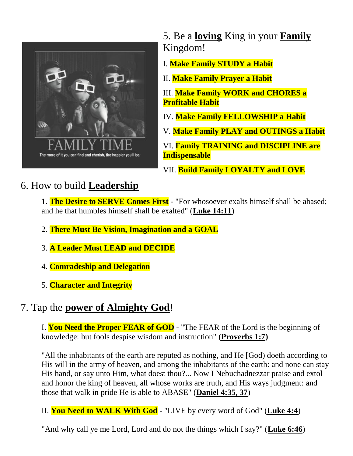

5. Be a **loving** King in your **Family** Kingdom!

I. **Make Family STUDY a Habit**

II. **Make Family Prayer a Habit**

III. **Make Family WORK and CHORES a Profitable Habit**

IV. **Make Family FELLOWSHIP a Habit**

V. **Make Family PLAY and OUTINGS a Habit**

VI. **Family TRAINING and DISCIPLINE are Indispensable**

VII. **Build Family LOYALTY and LOVE**

# 6. How to build **Leadership**

1. **The Desire to SERVE Comes First** - "For whosoever exalts himself shall be abased; and he that humbles himself shall be exalted" (**Luke 14:11**)

- 2. **There Must Be Vision, Imagination and a GOAL**
- 3. **A Leader Must LEAD and DECIDE**
- 4. **Comradeship and Delegation**
- 5. **Character and Integrity**

## 7. Tap the **power of Almighty God**!

I. **You Need the Proper FEAR of GOD -** "The FEAR of the Lord is the beginning of knowledge: but fools despise wisdom and instruction" **(Proverbs 1:7)**

"All the inhabitants of the earth are reputed as nothing, and He [God) doeth according to His will in the army of heaven, and among the inhabitants of the earth: and none can stay His hand, or say unto Him, what doest thou?... Now I Nebuchadnezzar praise and extol and honor the king of heaven, all whose works are truth, and His ways judgment: and those that walk in pride He is able to ABASE" (**Daniel 4:35, 37**)

II. **You Need to WALK With God** - "LIVE by every word of God" (**Luke 4:4**)

"And why call ye me Lord, Lord and do not the things which I say?" (**Luke 6:46**)